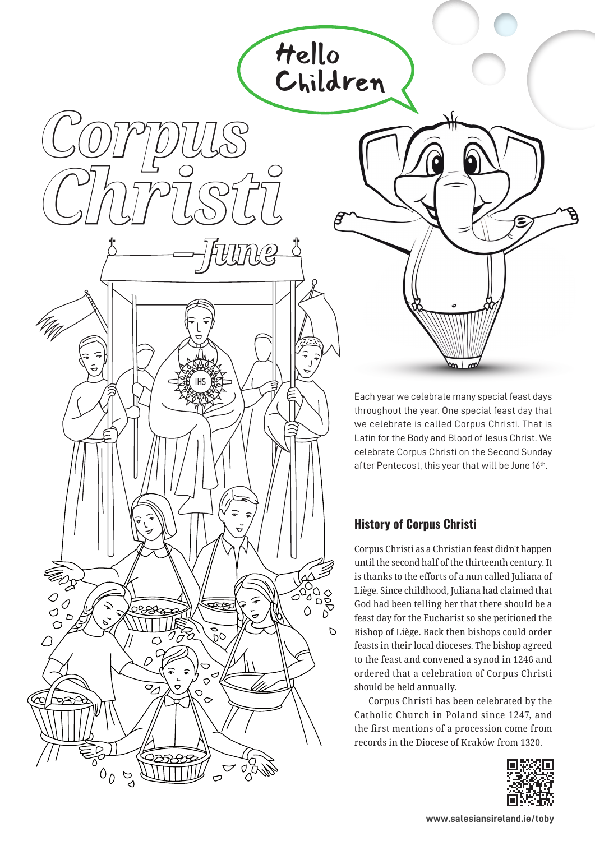Each year we celebrate many special feast days throughout the year. One special feast day that we celebrate is called Corpus Christi. That is Latin for the Body and Blood of Jesus Christ. We celebrate Corpus Christi on the Second Sunday after Pentecost, this year that will be June 16th.

## **History of Corpus Christi**

000<br>000<br>0

 $\overline{O}$ 

 $\triangle$ 

Hello

 *– June*

*Corpus* 

*Christi*

 $\circ$ O

 $\circ$ 

∍≃

 $\circ$ 

 $D_{\Delta}$  $\theta$ 

റമാ

 $\Omega$ 

 $\sigma_{\!\!A}$ 

 $\frac{6}{20}$ 

r v<br>No

Children

Corpus Christi as a Christian feast didn't happen until the second half of the thirteenth century. It is thanks to the efforts of a nun called Juliana of Liège. Since childhood, Juliana had claimed that God had been telling her that there should be a feast day for the Eucharist so she petitioned the Bishop of Liège. Back then bishops could order feasts in their local dioceses. The bishop agreed to the feast and convened a synod in 1246 and ordered that a celebration of Corpus Christi should be held annually.

Corpus Christi has been celebrated by the Catholic Church in Poland since 1247, and the first mentions of a procession come from records in the Diocese of Kraków from 1320.